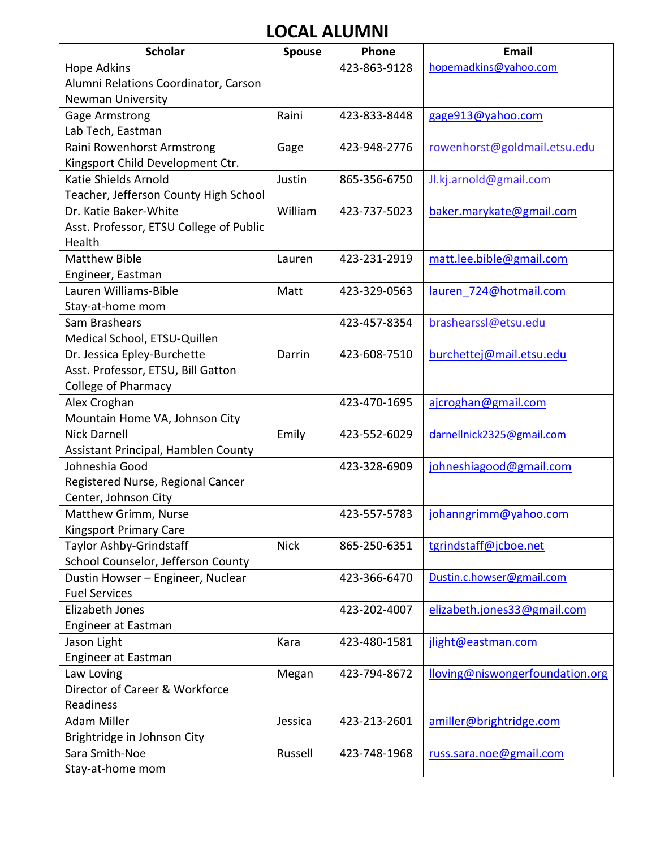## **LOCAL ALUMNI**

| <b>Scholar</b>                          | <b>Spouse</b> | Phone        | <b>Email</b>                    |
|-----------------------------------------|---------------|--------------|---------------------------------|
| Hope Adkins                             |               | 423-863-9128 | hopemadkins@yahoo.com           |
| Alumni Relations Coordinator, Carson    |               |              |                                 |
| <b>Newman University</b>                |               |              |                                 |
| Gage Armstrong                          | Raini         | 423-833-8448 | gage913@yahoo.com               |
| Lab Tech, Eastman                       |               |              |                                 |
| Raini Rowenhorst Armstrong              | Gage          | 423-948-2776 | rowenhorst@goldmail.etsu.edu    |
| Kingsport Child Development Ctr.        |               |              |                                 |
| Katie Shields Arnold                    | Justin        | 865-356-6750 | Jl.kj.arnold@gmail.com          |
| Teacher, Jefferson County High School   |               |              |                                 |
| Dr. Katie Baker-White                   | William       | 423-737-5023 | baker.marykate@gmail.com        |
| Asst. Professor, ETSU College of Public |               |              |                                 |
| Health                                  |               |              |                                 |
| <b>Matthew Bible</b>                    | Lauren        | 423-231-2919 | matt.lee.bible@gmail.com        |
| Engineer, Eastman                       |               |              |                                 |
| Lauren Williams-Bible                   | Matt          | 423-329-0563 | lauren 724@hotmail.com          |
| Stay-at-home mom                        |               |              |                                 |
| Sam Brashears                           |               | 423-457-8354 | brashearssl@etsu.edu            |
| Medical School, ETSU-Quillen            |               |              |                                 |
| Dr. Jessica Epley-Burchette             | Darrin        | 423-608-7510 | burchettej@mail.etsu.edu        |
| Asst. Professor, ETSU, Bill Gatton      |               |              |                                 |
| <b>College of Pharmacy</b>              |               |              |                                 |
| Alex Croghan                            |               | 423-470-1695 | ajcroghan@gmail.com             |
| Mountain Home VA, Johnson City          |               |              |                                 |
| <b>Nick Darnell</b>                     | Emily         | 423-552-6029 | darnellnick2325@gmail.com       |
| Assistant Principal, Hamblen County     |               |              |                                 |
| Johneshia Good                          |               | 423-328-6909 | johneshiagood@gmail.com         |
| Registered Nurse, Regional Cancer       |               |              |                                 |
| Center, Johnson City                    |               |              |                                 |
| Matthew Grimm, Nurse                    |               | 423-557-5783 | johanngrimm@yahoo.com           |
| <b>Kingsport Primary Care</b>           |               |              |                                 |
| Taylor Ashby-Grindstaff                 | <b>Nick</b>   | 865-250-6351 | tgrindstaff@jcboe.net           |
| School Counselor, Jefferson County      |               |              |                                 |
| Dustin Howser - Engineer, Nuclear       |               | 423-366-6470 | Dustin.c.howser@gmail.com       |
| <b>Fuel Services</b>                    |               |              |                                 |
| Elizabeth Jones                         |               | 423-202-4007 | elizabeth.jones33@gmail.com     |
| <b>Engineer at Eastman</b>              |               |              |                                 |
| Jason Light                             | Kara          | 423-480-1581 | jlight@eastman.com              |
| <b>Engineer at Eastman</b>              |               |              |                                 |
| Law Loving                              | Megan         | 423-794-8672 | lloving@niswongerfoundation.org |
| Director of Career & Workforce          |               |              |                                 |
| Readiness                               |               |              |                                 |
| <b>Adam Miller</b>                      | Jessica       | 423-213-2601 | amiller@brightridge.com         |
| Brightridge in Johnson City             |               |              |                                 |
| Sara Smith-Noe                          | Russell       | 423-748-1968 | russ.sara.noe@gmail.com         |
| Stay-at-home mom                        |               |              |                                 |